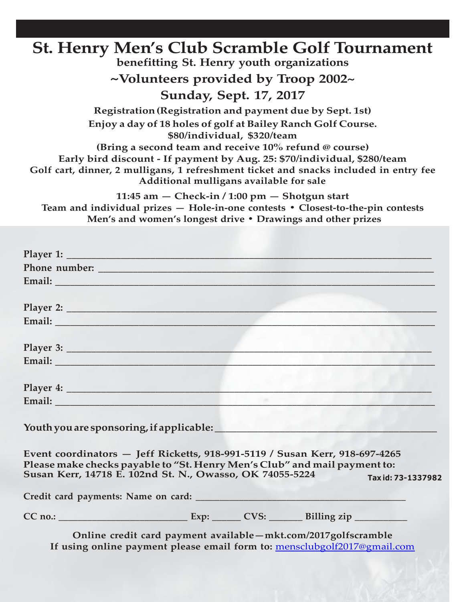#### **St. Henry Men's Club Scramble Golf Tournament benefitting St. Henry youth organizations ~Volunteers provided by Troop 2002~ Sunday, Sept. 17, 2017 Registration(Registration and payment due by Sept. 1st) Enjoy a day of 18 holes of golf at Bailey Ranch Golf Course. \$80/individual, \$320/team (Bring a second team and receive 10% refund @ course) Early bird discount - If payment by Aug. 25: \$70/individual, \$280/team Golf cart, dinner, 2 mulligans, 1 refreshment ticket and snacks included in entry fee Additional mulligans available for sale 11:45 am — Check-in / 1:00 pm — Shotgun start Team and individual prizes — Hole-in-one contests • Closest-to-the-pin contests**

**Men's and women's longest drive • Drawings and other prizes**

| Email: North Communication of the Communication of the Communication of the Communication of the Communication                                                                                                       |  |                   |
|----------------------------------------------------------------------------------------------------------------------------------------------------------------------------------------------------------------------|--|-------------------|
|                                                                                                                                                                                                                      |  |                   |
|                                                                                                                                                                                                                      |  |                   |
|                                                                                                                                                                                                                      |  |                   |
|                                                                                                                                                                                                                      |  |                   |
|                                                                                                                                                                                                                      |  |                   |
| Event coordinators - Jeff Ricketts, 918-991-5119 / Susan Kerr, 918-697-4265<br>Please make checks payable to "St. Henry Men's Club" and mail payment to:<br>Susan Kerr, 14718 E. 102nd St. N., Owasso, OK 74055-5224 |  | Taxid: 73-1337982 |
|                                                                                                                                                                                                                      |  |                   |
|                                                                                                                                                                                                                      |  |                   |
| Online credit card payment available-mkt.com/2017golfscramble<br>If using online payment please email form to: mensclubgolf2017@gmail.com                                                                            |  |                   |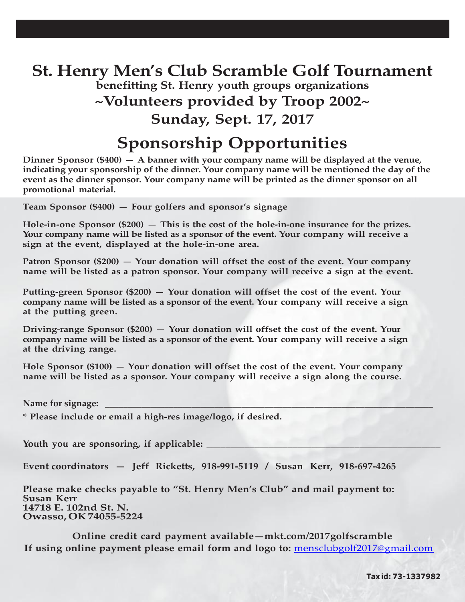### **St. Henry Men's Club Scramble Golf Tournament benefitting St. Henry youth groups organizations ~Volunteers provided by Troop 2002~ Sunday, Sept. 17, 2017**

### **Sponsorship Opportunities**

**Dinner Sponsor (\$400) — A banner with your company name will be displayed at the venue, indicating your sponsorship of the dinner. Your company name will be mentioned the day of the event as the dinner sponsor. Your company name will be printed as the dinner sponsor on all promotional material.**

**Team Sponsor (\$400) — Four golfers and sponsor's signage**

**Hole-in-one Sponsor (\$200) — This is the cost of the hole-in-one insurance for the prizes. Your company name will be listed as a sponsor of the event. Your company will receive a sign at the event, displayed at the hole-in-one area.**

**Patron Sponsor (\$200) — Your donation will offset the cost of the event. Your company name will be listed as a patron sponsor. Your company will receive a sign at the event.**

**Putting-green Sponsor (\$200) — Your donation will offset the cost of the event. Your company name will be listed as a sponsor of the event. Your company will receive a sign at the putting green.**

**Driving-range Sponsor (\$200) — Your donation will offset the cost of the event. Your company name will be listed as a sponsor of the event. Your company will receive a sign at the driving range.**

**Hole Sponsor (\$100) — Your donation will offset the cost of the event. Your company name will be listed as a sponsor. Your company will receive a sign along the course.**

Name for signage:

**\* Please include or email a high-res image/logo, if desired.**

Youth you are sponsoring, if applicable:

**Event coordinators — Jeff Ricketts, 918-991-5119 / Susan Kerr, 918-697-4265**

**Please make checks payable to "St. Henry Men's Club" and mail payment to: Susan Kerr 14718 E. 102nd St. N. Owasso, OK74055-5224**

**Online credit card payment available—mkt.com/2017golfscramble If using online payment please email form and logo to:** [mensclubgolf2017@gmail.com](mailto:mensclubgolf2017@gmail.com)